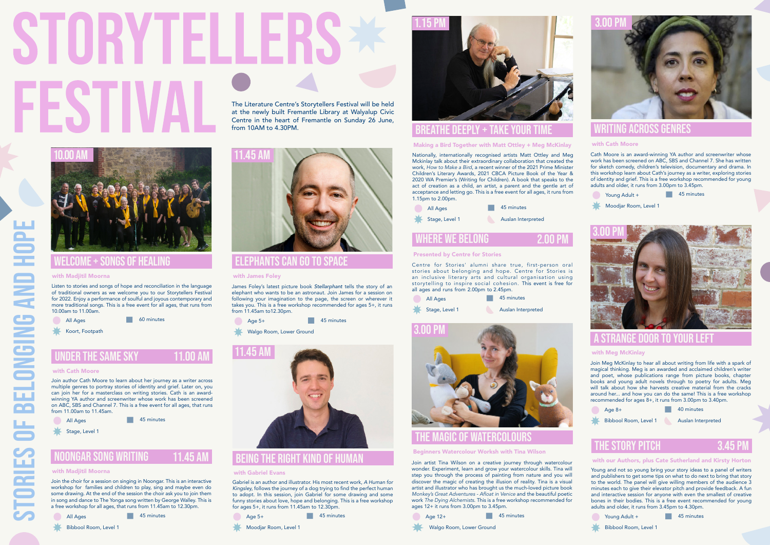STORIES OF BELONGING AND HOPE

**TORIES** 

**BELONGING AND** 

# being the right kind of human

#### with Gabriel Evans

Gabriel is an author and illustrator. His most recent work, *A Human for Kingsley,* follows the journey of a dog trying to find the perfect human to adopt. In this session, join Gabriel for some drawing and some funny stories about love, hope and belonging. This is a free workshop for ages 5+, it runs from 11.45am to 12.30pm.



The Literature Centre's Storytellers Festival will be held at the newly built Fremantle Library at Walyalup Civic Centre in the heart of Fremantle on Sunday 26 June, from 10AM to 4.30PM.



James Foley's latest picture book *Stellarphant* tells the story of an elephant who wants to be an astronaut. Join James for a session on following your imagination to the page, the screen or wherever it takes you. This is a free workshop recommended for ages 5+, it runs from 11.45am to12.30pm.

45 minutes

Walgo Room, Lower Ground

## elephants can go to space

### with James Foley

**Age 5+** 

Cath Moore is an award-winning YA author and screenwriter whose work has been screened on ABC, SBS and Channel 7. She has written for sketch comedy, children's television, documentary and drama. In this workshop learn about Cath's journey as a writer, exploring stories of identity and grief. This is a free workshop recommended for young adults and older, it runs from 3.00pm to 3.45pm.

45 minutes Young Adult +



Moodjar Room, Level 1

## writing across genres

#### with Cath Moore



Join Meg McKinlay to hear all about writing from life with a spark of magical thinking. Meg is an awarded and acclaimed children's writer and poet, whose publications range from picture books, chapter books and young adult novels through to poetry for adults. Meg will talk about how she harvests creative material from the cracks around her... and how you can do the same! This is a free workshop recommended for ages 8+, it runs from 3.00pm to 3.40pm.

45 minutes All Ages

Stage, Level 1

## a strange door to your left

### with Meg McKinlay

3.00 Pm

Age 8+



40 minutes

Bibbool Room, Level 1 Auslan Interpreted

Centre for Stories' alumni share true, first-person oral stories about belonging and hope. Centre for Stories is an inclusive literary arts and cultural organisation using storytelling to inspire social cohesion. This event is free for all ages and runs from 2.00pm to 2.45pm.

> Young and not so young bring your story ideas to a panel of writers and publishers to get some tips on what to do next to bring that story to the world. The panel will give willing members of the audience 3 minutes each to give their elevator pitch and provide feedback. A fun and interactive session for anyone with even the smallest of creative bones in their bodies. This is a free event recommended for young adults and older, it runs from 3.45pm to 4.30pm.



## the story pitch

#### with our Authors, plus Cate Sutherland and Kirsty Horton

3.45 Pm

Young Adult +

45 minutes

Bibbool Room, Level 1



45 minutes All Ages

Bibbool Room, Level 1



Moodjar Room, Level 1

#### noongar song writing 11 45 AI

## with Madiitil Moorna

Join artist Tina Wilson on a creative journey through watercolour wonder. Experiment, learn and grow your watercolour skills. Tina will step you through the process of painting from nature and you will discover the magic of creating the illusion of reality. Tina is a visual artist and illustrator who has brought us the much-loved picture book Monkey's Great Adventures - Afloat in Venice and the beautiful poetic work The Dying Alchemists. This is a free workshop recommended for ages 12+ it runs from 3.00pm to 3.45pm.

## the magic of watercolours

## Beginners Watercolour Worksh with Tina Wilson





Join author Cath Moore to learn about her journey as a writer across multiple genres to portray stories of identity and grief. Later on, you can join her for a masterclass on writing stories. Cath is an awardwinning YA author and screenwriter whose work has been screened on ABC, SBS and Channel 7. This is a free event for all ages, that runs from 11.00am to 11.45am.

## with Cath Moore

Listen to stories and songs of hope and reconciliation in the language of traditional owners as we welcome you to our Storytellers Festival for 2022. Enjoy a performance of soulful and joyous contemporary and more traditional songs. This is a free event for all ages, that runs from 10.00am to 11.00am.

## welcome + songs of healing

## with Madiitil Moorna





60 minutes

Koort, Footpath

# **UNDER THE SAME SKY**

11.00 A

## Presented by Centre for Stories

| $\frac{1}{2}$  |                    |
|----------------|--------------------|
| All Ages       | 45 minutes         |
| Stage, Level 1 | Auslan Interpreted |



Nationally, internationally recognised artists Matt Ottley and Meg Mckinlay talk about their extraordinary collaboration that created the work, How to Make a Bird, a recent winner of the 2021 Prime Minister Children's Literary Awards, 2021 CBCA Picture Book of the Year & 2020 WA Premier's (Writing for Children). A book that speaks to the act of creation as a child, an artist, a parent and the gentle art of acceptance and letting go. This is a free event for all ages, it runs from 1.15pm to 2.00pm.

# breathe deeply + take your time

## Making a Bird Together with Matt Ottley + Meg McKinlay



Join the choir for a session on singing in Noongar. This is an interactive workshop for families and children to play, sing and maybe even do some drawing. At the end of the session the choir ask you to join them in song and dance to The Yonga song written by George Walley. This is a free workshop for all ages, that runs from 11.45am to 12.30pm.